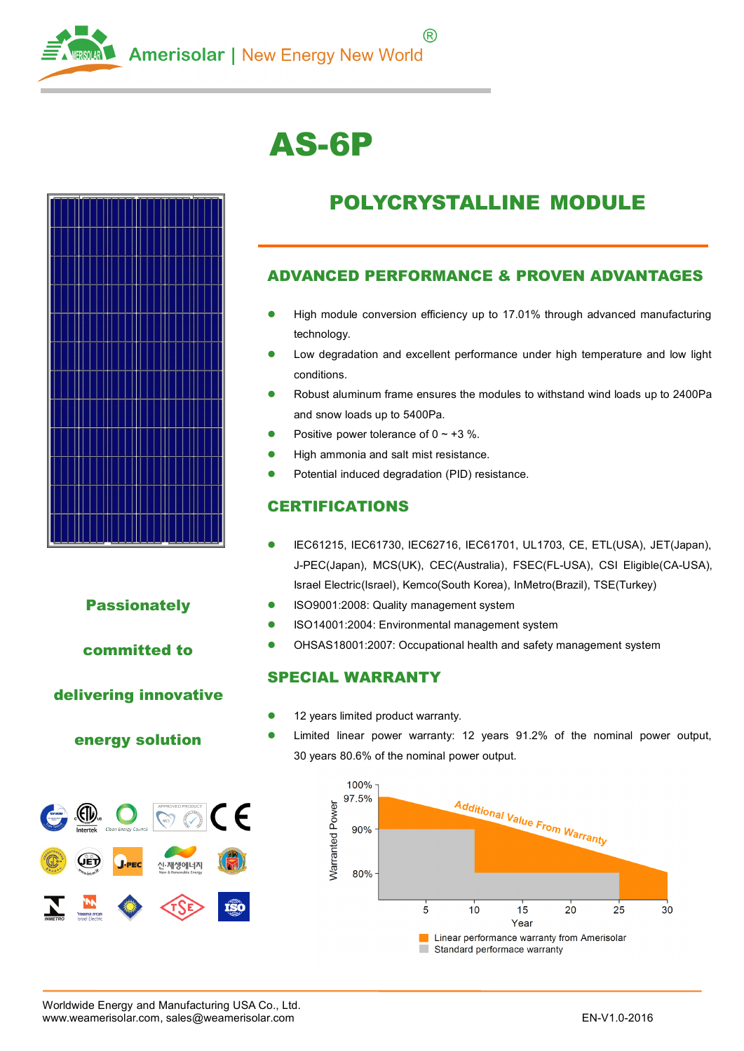

# **AS-6P**



#### **Passionately**

#### **committed to**

#### **delivering innovative**

#### **energy solution**



# **POLYCRYSTALLINE MODULE**

#### **ADVANCED PERFORMANCE & PROVEN ADVANTAGES**

- � High module conversion efficiency up to 17.01% through advanced manufacturing technology.
- � Low degradation and excellent performance under high temperature and low light conditions.
- � Robust aluminum frame ensures the modules to withstand wind loads up to 2400Pa and snow loads up to 5400Pa.
- �Positive power tolerance of  $0 \sim +3$  %.
- �High ammonia and salt mist resistance.
- �Potential induced degradation (PID) resistance.

#### **CERTIFICATIONS**

- � IEC61215, IEC61730, IEC62716, IEC61701, UL1703, CE, ETL(USA), JET(Japan), J-PEC(Japan), MCS(UK), CEC(Australia), FSEC(FL-USA), CSI Eligible(CA-USA), Israel Electric(Israel), Kemco(South Korea), InMetro(Brazil), TSE(Turkey)
- �ISO9001:2008: Quality management system
- �ISO14001:2004: Environmental management system
- �OHSAS18001:2007: Occupational health and safety management system

#### **SPECIAL WARRANTY**

- �12 years limited product warranty.
- � Limited linear power warranty: 12 years 91.2% of the nominal power output, 30 years 80.6% of the nominal power output.